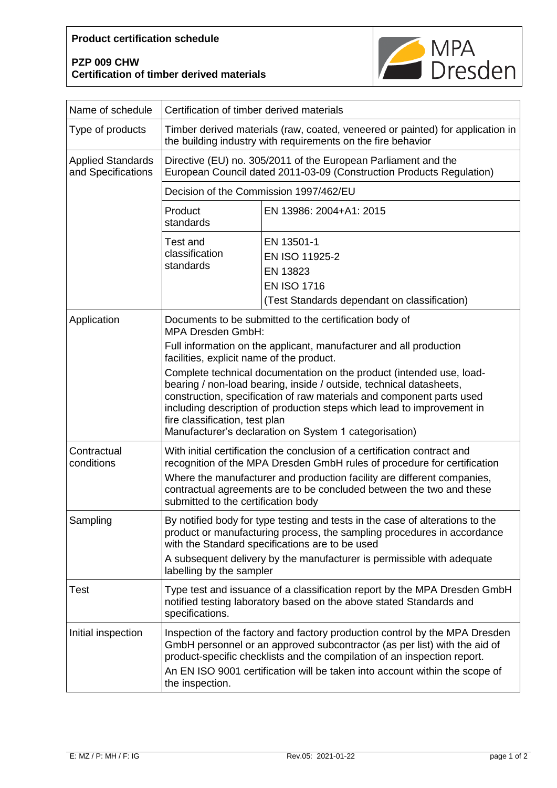## **Product certification schedule**

## **PZP 009 CHW Certification of timber derived materials**



| Name of schedule                               | Certification of timber derived materials                                                                                                                                                                                                                                                                                                                                                  |                                                                                                                |
|------------------------------------------------|--------------------------------------------------------------------------------------------------------------------------------------------------------------------------------------------------------------------------------------------------------------------------------------------------------------------------------------------------------------------------------------------|----------------------------------------------------------------------------------------------------------------|
| Type of products                               | Timber derived materials (raw, coated, veneered or painted) for application in<br>the building industry with requirements on the fire behavior                                                                                                                                                                                                                                             |                                                                                                                |
| <b>Applied Standards</b><br>and Specifications | Directive (EU) no. 305/2011 of the European Parliament and the<br>European Council dated 2011-03-09 (Construction Products Regulation)                                                                                                                                                                                                                                                     |                                                                                                                |
|                                                | Decision of the Commission 1997/462/EU                                                                                                                                                                                                                                                                                                                                                     |                                                                                                                |
|                                                | Product<br>standards                                                                                                                                                                                                                                                                                                                                                                       | EN 13986: 2004+A1: 2015                                                                                        |
|                                                | <b>Test and</b><br>classification<br>standards                                                                                                                                                                                                                                                                                                                                             | EN 13501-1<br>EN ISO 11925-2<br>EN 13823<br><b>EN ISO 1716</b><br>(Test Standards dependant on classification) |
| Application                                    | Documents to be submitted to the certification body of<br><b>MPA Dresden GmbH:</b>                                                                                                                                                                                                                                                                                                         |                                                                                                                |
|                                                | Full information on the applicant, manufacturer and all production<br>facilities, explicit name of the product.                                                                                                                                                                                                                                                                            |                                                                                                                |
|                                                | Complete technical documentation on the product (intended use, load-<br>bearing / non-load bearing, inside / outside, technical datasheets,<br>construction, specification of raw materials and component parts used<br>including description of production steps which lead to improvement in<br>fire classification, test plan<br>Manufacturer's declaration on System 1 categorisation) |                                                                                                                |
| Contractual<br>conditions                      | With initial certification the conclusion of a certification contract and<br>recognition of the MPA Dresden GmbH rules of procedure for certification<br>Where the manufacturer and production facility are different companies,<br>contractual agreements are to be concluded between the two and these<br>submitted to the certification body                                            |                                                                                                                |
| Sampling                                       | By notified body for type testing and tests in the case of alterations to the<br>product or manufacturing process, the sampling procedures in accordance<br>with the Standard specifications are to be used<br>A subsequent delivery by the manufacturer is permissible with adequate<br>labelling by the sampler                                                                          |                                                                                                                |
| Test                                           | Type test and issuance of a classification report by the MPA Dresden GmbH<br>notified testing laboratory based on the above stated Standards and<br>specifications.                                                                                                                                                                                                                        |                                                                                                                |
| Initial inspection                             | Inspection of the factory and factory production control by the MPA Dresden<br>GmbH personnel or an approved subcontractor (as per list) with the aid of<br>product-specific checklists and the compilation of an inspection report.<br>An EN ISO 9001 certification will be taken into account within the scope of<br>the inspection.                                                     |                                                                                                                |